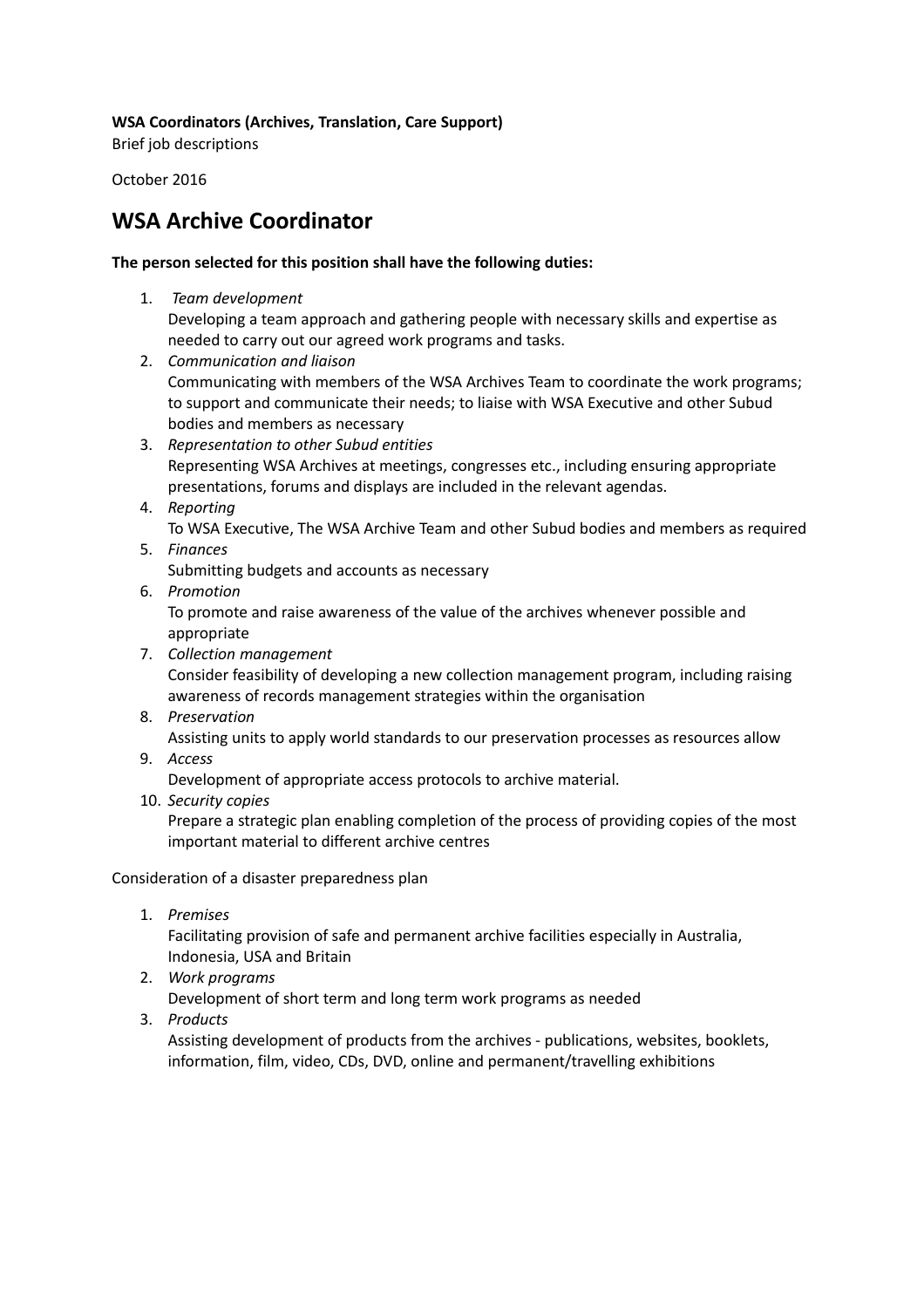#### **WSA Coordinators (Archives, Translation, Care Support)**

Brief job descriptions

October 2016

## **WSA Archive Coordinator**

#### **The person selected for this position shall have the following duties:**

- 1. *Team development* Developing a team approach and gathering people with necessary skills and expertise as needed to carry out our agreed work programs and tasks.
- 2. *Communication and liaison* Communicating with members of the WSA Archives Team to coordinate the work programs; to support and communicate their needs; to liaise with WSA Executive and other Subud bodies and members as necessary
- 3. *Representation to other Subud entities* Representing WSA Archives at meetings, congresses etc., including ensuring appropriate presentations, forums and displays are included in the relevant agendas.
- 4. *Reporting*

To WSA Executive, The WSA Archive Team and other Subud bodies and members as required 5. *Finances*

- Submitting budgets and accounts as necessary
- 6. *Promotion*

To promote and raise awareness of the value of the archives whenever possible and appropriate

- 7. *Collection management* Consider feasibility of developing a new collection management program, including raising awareness of records management strategies within the organisation
- 8. *Preservation*

Assisting units to apply world standards to our preservation processes as resources allow

9. *Access*

Development of appropriate access protocols to archive material.

10. *Security copies*

Prepare a strategic plan enabling completion of the process of providing copies of the most important material to different archive centres

Consideration of a disaster preparedness plan

1. *Premises*

Facilitating provision of safe and permanent archive facilities especially in Australia, Indonesia, USA and Britain

- 2. *Work programs* Development of short term and long term work programs as needed
- 3. *Products*

Assisting development of products from the archives - publications, websites, booklets, information, film, video, CDs, DVD, online and permanent/travelling exhibitions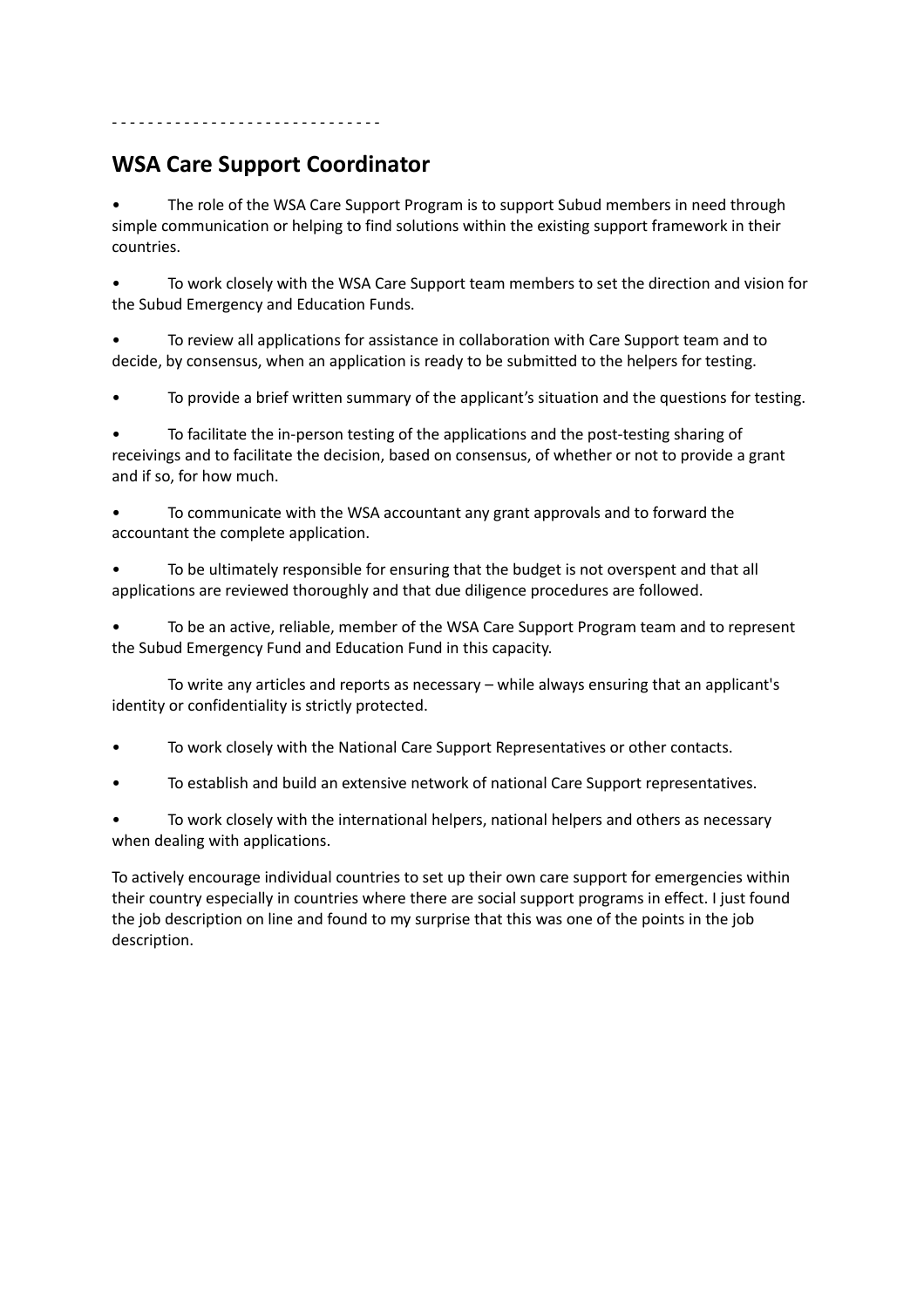# **WSA Care Support Coordinator**

- - - - - - - - - - - - - - - - - - - - - - - - - - - - - -

The role of the WSA Care Support Program is to support Subud members in need through simple communication or helping to find solutions within the existing support framework in their countries.

• To work closely with the WSA Care Support team members to set the direction and vision for the Subud Emergency and Education Funds.

• To review all applications for assistance in collaboration with Care Support team and to decide, by consensus, when an application is ready to be submitted to the helpers for testing.

• To provide a brief written summary of the applicant's situation and the questions for testing.

• To facilitate the in-person testing of the applications and the post-testing sharing of receivings and to facilitate the decision, based on consensus, of whether or not to provide a grant and if so, for how much.

• To communicate with the WSA accountant any grant approvals and to forward the accountant the complete application.

• To be ultimately responsible for ensuring that the budget is not overspent and that all applications are reviewed thoroughly and that due diligence procedures are followed.

• To be an active, reliable, member of the WSA Care Support Program team and to represent the Subud Emergency Fund and Education Fund in this capacity.

To write any articles and reports as necessary – while always ensuring that an applicant's identity or confidentiality is strictly protected.

- To work closely with the National Care Support Representatives or other contacts.
- To establish and build an extensive network of national Care Support representatives.

• To work closely with the international helpers, national helpers and others as necessary when dealing with applications.

To actively encourage individual countries to set up their own care support for emergencies within their country especially in countries where there are social support programs in effect. I just found the job description on line and found to my surprise that this was one of the points in the job description.